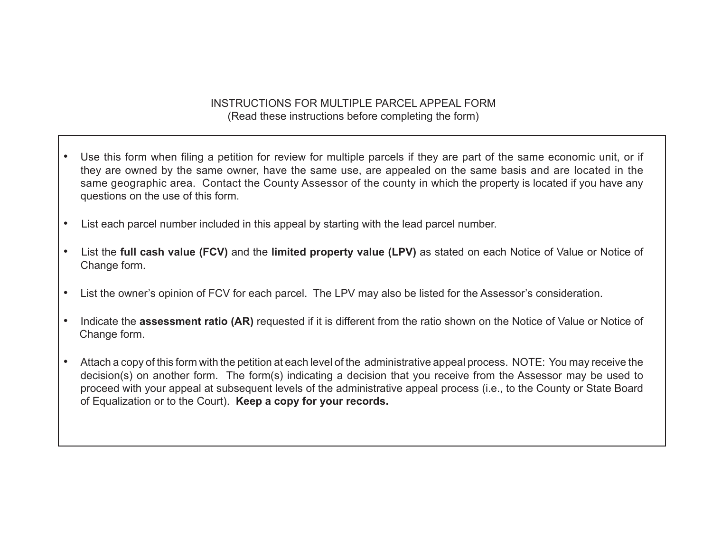## INSTRUCTIONS FOR MULTIPLE PARCEL APPEAL FORM (Read these instructions before completing the form)

- Use this form when filing a petition for review for multiple parcels if they are part of the same economic unit, or if they are owned by the same owner, have the same use, are appealed on the same basis and are located in the same geographic area. Contact the County Assessor of the county in which the property is located if you have any questions on the use of this form.
- List each parcel number included in this appeal by starting with the lead parcel number.
- List the **full cash value (FCV)** and the **limited property value (LPV)** as stated on each Notice of Value or Notice of Change form.
- • List the owner's opinion of FCV for each parcel. The LPV may also be listed for the Assessor's consideration.
- Indicate the **assessment ratio (AR)** requested if it is different from the ratio shown on the Notice of Value or Notice of Change form.
- Attach a copy of this form with the petition at each level of the administrative appeal process. NOTE: You may receive the decision(s) on another form. The form(s) indicating a decision that you receive from the Assessor may be used to proceed with your appeal at subsequent levels of the administrative appeal process (i.e., to the County or State Board of Equalization or to the Court). **Keep a copy for your records.**